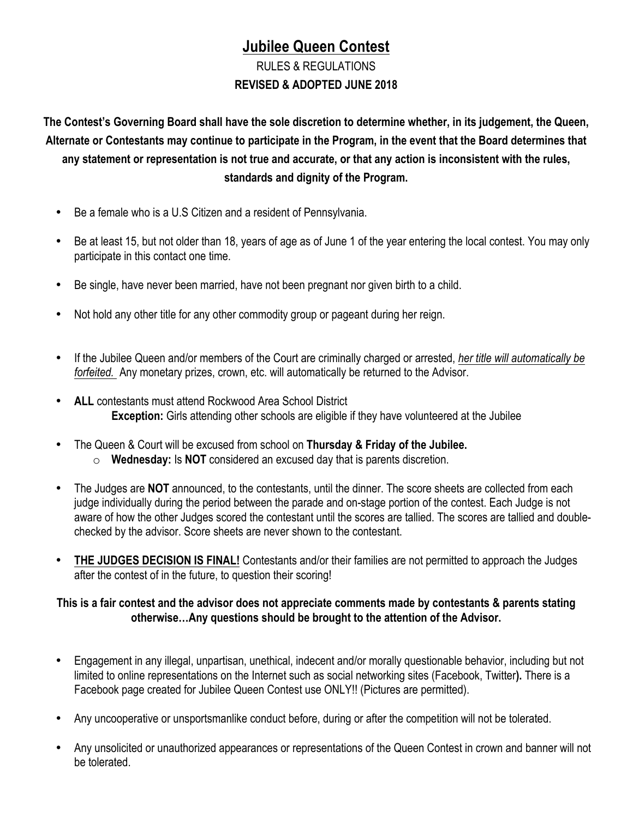# **Jubilee Queen Contest**

# RULES & REGULATIONS **REVISED & ADOPTED JUNE 2018**

**The Contest's Governing Board shall have the sole discretion to determine whether, in its judgement, the Queen, Alternate or Contestants may continue to participate in the Program, in the event that the Board determines that any statement or representation is not true and accurate, or that any action is inconsistent with the rules, standards and dignity of the Program.**

- Be a female who is a U.S Citizen and a resident of Pennsylvania.
- Be at least 15, but not older than 18, years of age as of June 1 of the year entering the local contest. You may only participate in this contact one time.
- Be single, have never been married, have not been pregnant nor given birth to a child.
- Not hold any other title for any other commodity group or pageant during her reign.
- If the Jubilee Queen and/or members of the Court are criminally charged or arrested, *her title will automatically be forfeited.* Any monetary prizes, crown, etc. will automatically be returned to the Advisor.
- **ALL** contestants must attend Rockwood Area School District **Exception:** Girls attending other schools are eligible if they have volunteered at the Jubilee
- The Queen & Court will be excused from school on **Thursday & Friday of the Jubilee.**
	- o **Wednesday:** Is **NOT** considered an excused day that is parents discretion.
- The Judges are **NOT** announced, to the contestants, until the dinner. The score sheets are collected from each judge individually during the period between the parade and on-stage portion of the contest. Each Judge is not aware of how the other Judges scored the contestant until the scores are tallied. The scores are tallied and doublechecked by the advisor. Score sheets are never shown to the contestant.
- **THE JUDGES DECISION IS FINAL!** Contestants and/or their families are not permitted to approach the Judges after the contest of in the future, to question their scoring!

### **This is a fair contest and the advisor does not appreciate comments made by contestants & parents stating otherwise…Any questions should be brought to the attention of the Advisor.**

- Engagement in any illegal, unpartisan, unethical, indecent and/or morally questionable behavior, including but not limited to online representations on the Internet such as social networking sites (Facebook, Twitter**).** There is a Facebook page created for Jubilee Queen Contest use ONLY!! (Pictures are permitted).
- Any uncooperative or unsportsmanlike conduct before, during or after the competition will not be tolerated.
- Any unsolicited or unauthorized appearances or representations of the Queen Contest in crown and banner will not be tolerated.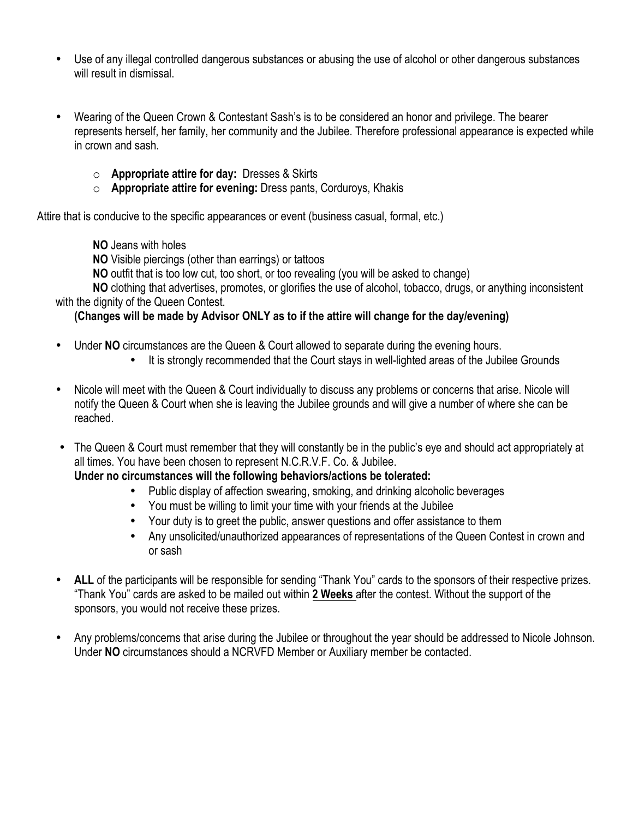- Use of any illegal controlled dangerous substances or abusing the use of alcohol or other dangerous substances will result in dismissal.
- Wearing of the Queen Crown & Contestant Sash's is to be considered an honor and privilege. The bearer represents herself, her family, her community and the Jubilee. Therefore professional appearance is expected while in crown and sash.
	- o **Appropriate attire for day:** Dresses & Skirts
	- o **Appropriate attire for evening:** Dress pants, Corduroys, Khakis

Attire that is conducive to the specific appearances or event (business casual, formal, etc.)

- **NO** Jeans with holes
- **NO** Visible piercings (other than earrings) or tattoos
- **NO** outfit that is too low cut, too short, or too revealing (you will be asked to change)

**NO** clothing that advertises, promotes, or glorifies the use of alcohol, tobacco, drugs, or anything inconsistent with the dignity of the Queen Contest.

### **(Changes will be made by Advisor ONLY as to if the attire will change for the day/evening)**

- Under **NO** circumstances are the Queen & Court allowed to separate during the evening hours.
	- It is strongly recommended that the Court stays in well-lighted areas of the Jubilee Grounds
- Nicole will meet with the Queen & Court individually to discuss any problems or concerns that arise. Nicole will notify the Queen & Court when she is leaving the Jubilee grounds and will give a number of where she can be reached.
- The Queen & Court must remember that they will constantly be in the public's eye and should act appropriately at all times. You have been chosen to represent N.C.R.V.F. Co. & Jubilee.

#### **Under no circumstances will the following behaviors/actions be tolerated:**

- Public display of affection swearing, smoking, and drinking alcoholic beverages
- You must be willing to limit your time with your friends at the Jubilee
- Your duty is to greet the public, answer questions and offer assistance to them
- Any unsolicited/unauthorized appearances of representations of the Queen Contest in crown and or sash
- ALL of the participants will be responsible for sending "Thank You" cards to the sponsors of their respective prizes. "Thank You" cards are asked to be mailed out within **2 Weeks** after the contest. Without the support of the sponsors, you would not receive these prizes.
- Any problems/concerns that arise during the Jubilee or throughout the year should be addressed to Nicole Johnson. Under **NO** circumstances should a NCRVFD Member or Auxiliary member be contacted.